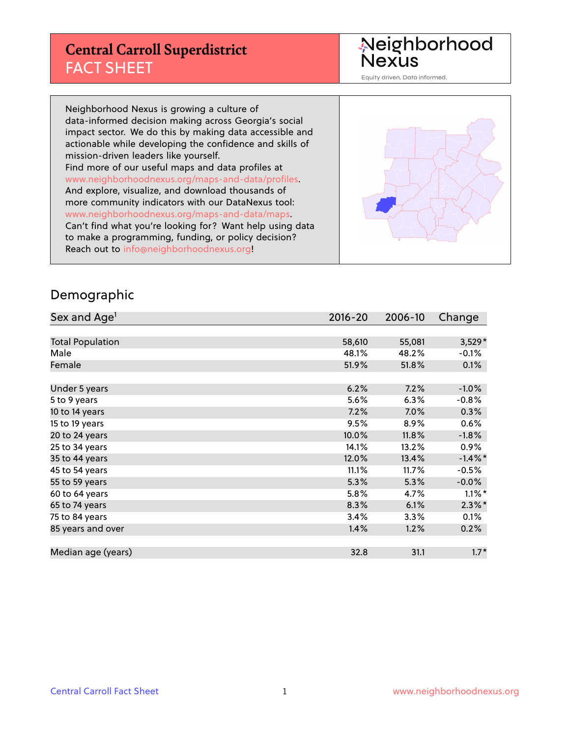## **Central Carroll Superdistrict** FACT SHEET

Neighborhood<br>Nexus

Equity driven. Data informed.

Neighborhood Nexus is growing a culture of data-informed decision making across Georgia's social impact sector. We do this by making data accessible and actionable while developing the confidence and skills of mission-driven leaders like yourself. Find more of our useful maps and data profiles at www.neighborhoodnexus.org/maps-and-data/profiles. And explore, visualize, and download thousands of more community indicators with our DataNexus tool: www.neighborhoodnexus.org/maps-and-data/maps. Can't find what you're looking for? Want help using data to make a programming, funding, or policy decision? Reach out to [info@neighborhoodnexus.org!](mailto:info@neighborhoodnexus.org)



#### Demographic

| Sex and Age <sup>1</sup> | $2016 - 20$ | 2006-10 | Change     |
|--------------------------|-------------|---------|------------|
|                          |             |         |            |
| <b>Total Population</b>  | 58,610      | 55,081  | $3,529*$   |
| Male                     | 48.1%       | 48.2%   | $-0.1\%$   |
| Female                   | 51.9%       | 51.8%   | 0.1%       |
|                          |             |         |            |
| Under 5 years            | 6.2%        | 7.2%    | $-1.0%$    |
| 5 to 9 years             | 5.6%        | 6.3%    | $-0.8%$    |
| 10 to 14 years           | 7.2%        | 7.0%    | 0.3%       |
| 15 to 19 years           | 9.5%        | 8.9%    | 0.6%       |
| 20 to 24 years           | 10.0%       | 11.8%   | $-1.8%$    |
| 25 to 34 years           | 14.1%       | 13.2%   | $0.9\%$    |
| 35 to 44 years           | 12.0%       | 13.4%   | $-1.4\%$ * |
| 45 to 54 years           | 11.1%       | 11.7%   | $-0.5%$    |
| 55 to 59 years           | 5.3%        | 5.3%    | $-0.0\%$   |
| 60 to 64 years           | 5.8%        | 4.7%    | $1.1\%$ *  |
| 65 to 74 years           | 8.3%        | 6.1%    | $2.3\%$ *  |
| 75 to 84 years           | 3.4%        | 3.3%    | 0.1%       |
| 85 years and over        | 1.4%        | 1.2%    | 0.2%       |
|                          |             |         |            |
| Median age (years)       | 32.8        | 31.1    | $1.7*$     |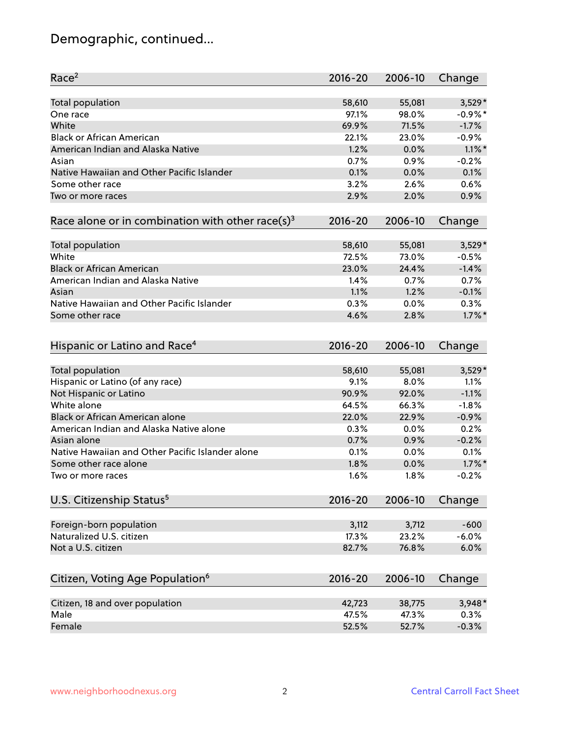# Demographic, continued...

| Race <sup>2</sup>                                            | $2016 - 20$ | 2006-10 | Change     |
|--------------------------------------------------------------|-------------|---------|------------|
| <b>Total population</b>                                      | 58,610      | 55,081  | $3,529*$   |
| One race                                                     | 97.1%       | 98.0%   | $-0.9\%$ * |
| White                                                        | 69.9%       | 71.5%   | $-1.7%$    |
| <b>Black or African American</b>                             | 22.1%       | 23.0%   | $-0.9%$    |
| American Indian and Alaska Native                            | 1.2%        | 0.0%    | $1.1\%$ *  |
| Asian                                                        | 0.7%        | 0.9%    | $-0.2%$    |
| Native Hawaiian and Other Pacific Islander                   | 0.1%        | 0.0%    | 0.1%       |
| Some other race                                              | 3.2%        | 2.6%    | 0.6%       |
| Two or more races                                            | 2.9%        | 2.0%    | 0.9%       |
|                                                              |             |         |            |
| Race alone or in combination with other race(s) <sup>3</sup> | $2016 - 20$ | 2006-10 | Change     |
| <b>Total population</b>                                      | 58,610      | 55,081  | $3,529*$   |
| White                                                        | 72.5%       | 73.0%   | $-0.5%$    |
| <b>Black or African American</b>                             | 23.0%       | 24.4%   | $-1.4%$    |
| American Indian and Alaska Native                            | 1.4%        | 0.7%    | 0.7%       |
| Asian                                                        | 1.1%        | 1.2%    | $-0.1%$    |
| Native Hawaiian and Other Pacific Islander                   | 0.3%        | 0.0%    | 0.3%       |
| Some other race                                              | 4.6%        | 2.8%    | $1.7\%$ *  |
| Hispanic or Latino and Race <sup>4</sup>                     | $2016 - 20$ | 2006-10 | Change     |
|                                                              |             |         |            |
| <b>Total population</b>                                      | 58,610      | 55,081  | $3,529*$   |
| Hispanic or Latino (of any race)                             | 9.1%        | 8.0%    | 1.1%       |
| Not Hispanic or Latino                                       | 90.9%       | 92.0%   | $-1.1%$    |
| White alone                                                  | 64.5%       | 66.3%   | $-1.8%$    |
| Black or African American alone                              | 22.0%       | 22.9%   | $-0.9%$    |
| American Indian and Alaska Native alone                      | 0.3%        | 0.0%    | 0.2%       |
| Asian alone                                                  | 0.7%        | 0.9%    | $-0.2%$    |
| Native Hawaiian and Other Pacific Islander alone             | 0.1%        | 0.0%    | 0.1%       |
| Some other race alone                                        | 1.8%        | 0.0%    | $1.7\%$ *  |
| Two or more races                                            | 1.6%        | 1.8%    | $-0.2%$    |
| U.S. Citizenship Status <sup>5</sup>                         | $2016 - 20$ | 2006-10 | Change     |
| Foreign-born population                                      | 3,112       | 3,712   | $-600$     |
| Naturalized U.S. citizen                                     | 17.3%       | 23.2%   | $-6.0%$    |
| Not a U.S. citizen                                           | 82.7%       | 76.8%   | 6.0%       |
|                                                              |             |         |            |
| Citizen, Voting Age Population <sup>6</sup>                  | $2016 - 20$ | 2006-10 | Change     |
| Citizen, 18 and over population                              | 42,723      | 38,775  | $3,948*$   |
| Male                                                         | 47.5%       | 47.3%   | 0.3%       |
| Female                                                       | 52.5%       | 52.7%   | $-0.3%$    |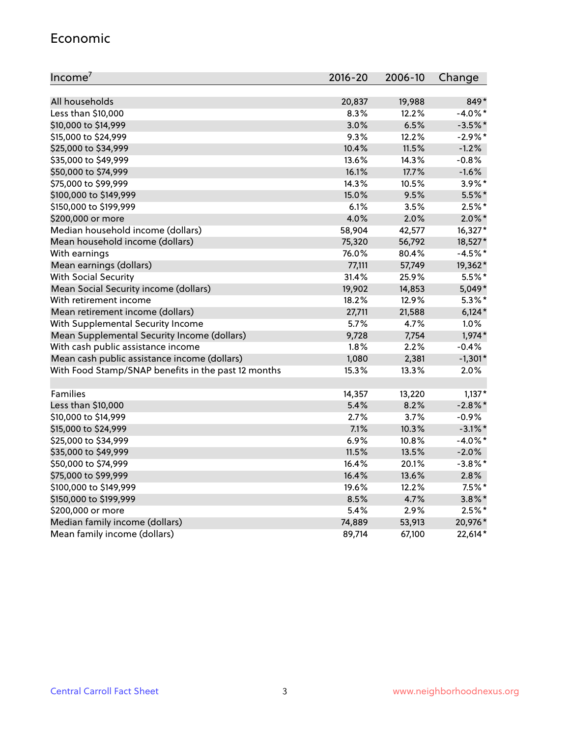#### Economic

| Income <sup>7</sup>                                 | $2016 - 20$ | 2006-10 | Change     |
|-----------------------------------------------------|-------------|---------|------------|
|                                                     |             |         |            |
| All households                                      | 20,837      | 19,988  | 849*       |
| Less than \$10,000                                  | 8.3%        | 12.2%   | $-4.0\%$ * |
| \$10,000 to \$14,999                                | 3.0%        | 6.5%    | $-3.5%$ *  |
| \$15,000 to \$24,999                                | 9.3%        | 12.2%   | $-2.9\%$ * |
| \$25,000 to \$34,999                                | 10.4%       | 11.5%   | $-1.2%$    |
| \$35,000 to \$49,999                                | 13.6%       | 14.3%   | $-0.8%$    |
| \$50,000 to \$74,999                                | 16.1%       | 17.7%   | $-1.6%$    |
| \$75,000 to \$99,999                                | 14.3%       | 10.5%   | $3.9\%$ *  |
| \$100,000 to \$149,999                              | 15.0%       | 9.5%    | $5.5\%$ *  |
| \$150,000 to \$199,999                              | 6.1%        | 3.5%    | $2.5%$ *   |
| \$200,000 or more                                   | 4.0%        | 2.0%    | $2.0\%$ *  |
| Median household income (dollars)                   | 58,904      | 42,577  | 16,327*    |
| Mean household income (dollars)                     | 75,320      | 56,792  | 18,527*    |
| With earnings                                       | 76.0%       | 80.4%   | $-4.5%$ *  |
| Mean earnings (dollars)                             | 77,111      | 57,749  | 19,362*    |
| <b>With Social Security</b>                         | 31.4%       | 25.9%   | $5.5%$ *   |
| Mean Social Security income (dollars)               | 19,902      | 14,853  | 5,049*     |
| With retirement income                              | 18.2%       | 12.9%   | $5.3\%$ *  |
| Mean retirement income (dollars)                    | 27,711      | 21,588  | $6,124*$   |
| With Supplemental Security Income                   | 5.7%        | 4.7%    | 1.0%       |
| Mean Supplemental Security Income (dollars)         | 9,728       | 7,754   | $1,974*$   |
| With cash public assistance income                  | 1.8%        | 2.2%    | $-0.4%$    |
| Mean cash public assistance income (dollars)        | 1,080       | 2,381   | $-1,301*$  |
| With Food Stamp/SNAP benefits in the past 12 months | 15.3%       | 13.3%   | 2.0%       |
|                                                     |             |         |            |
| Families                                            | 14,357      | 13,220  | $1,137*$   |
| Less than \$10,000                                  | 5.4%        | 8.2%    | $-2.8\%$ * |
| \$10,000 to \$14,999                                | 2.7%        | 3.7%    | $-0.9%$    |
| \$15,000 to \$24,999                                | 7.1%        | 10.3%   | $-3.1\%$ * |
| \$25,000 to \$34,999                                | 6.9%        | 10.8%   | $-4.0\%$ * |
| \$35,000 to \$49,999                                | 11.5%       | 13.5%   | $-2.0\%$   |
| \$50,000 to \$74,999                                | 16.4%       | 20.1%   | $-3.8\%$ * |
| \$75,000 to \$99,999                                | 16.4%       | 13.6%   | 2.8%       |
| \$100,000 to \$149,999                              | 19.6%       | 12.2%   | $7.5\%$ *  |
| \$150,000 to \$199,999                              | 8.5%        | 4.7%    | $3.8\%$ *  |
| \$200,000 or more                                   | 5.4%        | 2.9%    | $2.5%$ *   |
| Median family income (dollars)                      | 74,889      | 53,913  | 20,976*    |
| Mean family income (dollars)                        | 89,714      | 67,100  | 22,614*    |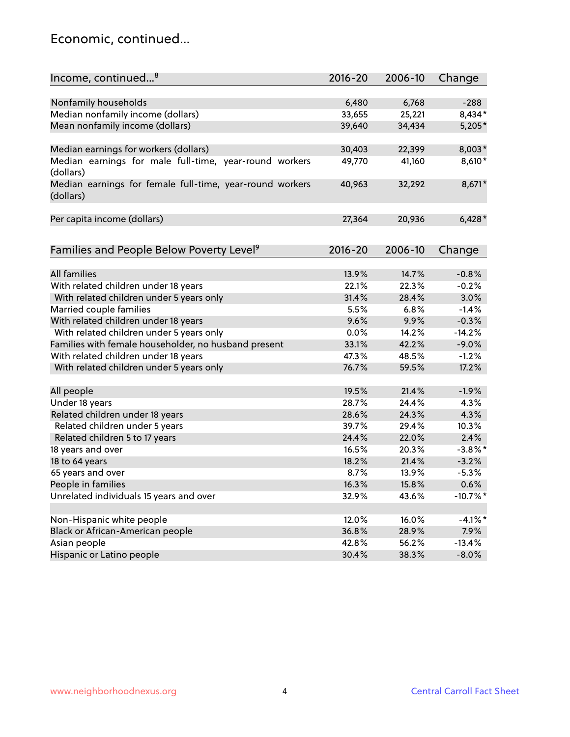### Economic, continued...

| Income, continued <sup>8</sup>                                        | $2016 - 20$ | 2006-10 | Change     |
|-----------------------------------------------------------------------|-------------|---------|------------|
|                                                                       |             |         |            |
| Nonfamily households                                                  | 6,480       | 6,768   | $-288$     |
| Median nonfamily income (dollars)                                     | 33,655      | 25,221  | 8,434*     |
| Mean nonfamily income (dollars)                                       | 39,640      | 34,434  | $5,205*$   |
| Median earnings for workers (dollars)                                 | 30,403      | 22,399  | 8,003*     |
| Median earnings for male full-time, year-round workers                | 49,770      | 41,160  | 8,610*     |
| (dollars)                                                             |             |         |            |
| Median earnings for female full-time, year-round workers<br>(dollars) | 40,963      | 32,292  | 8,671*     |
| Per capita income (dollars)                                           | 27,364      | 20,936  | $6,428*$   |
|                                                                       |             |         |            |
| Families and People Below Poverty Level <sup>9</sup>                  | $2016 - 20$ | 2006-10 | Change     |
| <b>All families</b>                                                   | 13.9%       | 14.7%   | $-0.8%$    |
| With related children under 18 years                                  | 22.1%       | 22.3%   | $-0.2%$    |
| With related children under 5 years only                              | 31.4%       | 28.4%   | 3.0%       |
|                                                                       | 5.5%        | 6.8%    | $-1.4%$    |
| Married couple families<br>With related children under 18 years       | 9.6%        | 9.9%    | $-0.3%$    |
| With related children under 5 years only                              | 0.0%        | 14.2%   | $-14.2%$   |
|                                                                       | 33.1%       | 42.2%   | $-9.0%$    |
| Families with female householder, no husband present                  | 47.3%       | 48.5%   |            |
| With related children under 18 years                                  |             |         | $-1.2%$    |
| With related children under 5 years only                              | 76.7%       | 59.5%   | 17.2%      |
| All people                                                            | 19.5%       | 21.4%   | $-1.9%$    |
| Under 18 years                                                        | 28.7%       | 24.4%   | 4.3%       |
| Related children under 18 years                                       | 28.6%       | 24.3%   | 4.3%       |
| Related children under 5 years                                        | 39.7%       | 29.4%   | 10.3%      |
| Related children 5 to 17 years                                        | 24.4%       | 22.0%   | 2.4%       |
| 18 years and over                                                     | 16.5%       | 20.3%   | $-3.8\%$ * |
| 18 to 64 years                                                        | 18.2%       | 21.4%   | $-3.2%$    |
| 65 years and over                                                     | 8.7%        | 13.9%   | $-5.3%$    |
| People in families                                                    | 16.3%       | 15.8%   | 0.6%       |
| Unrelated individuals 15 years and over                               | 32.9%       | 43.6%   | $-10.7%$ * |
|                                                                       |             |         |            |
| Non-Hispanic white people                                             | 12.0%       | 16.0%   | $-4.1\%$ * |
| Black or African-American people                                      | 36.8%       | 28.9%   | 7.9%       |
| Asian people                                                          | 42.8%       | 56.2%   | $-13.4%$   |
| Hispanic or Latino people                                             | 30.4%       | 38.3%   | $-8.0%$    |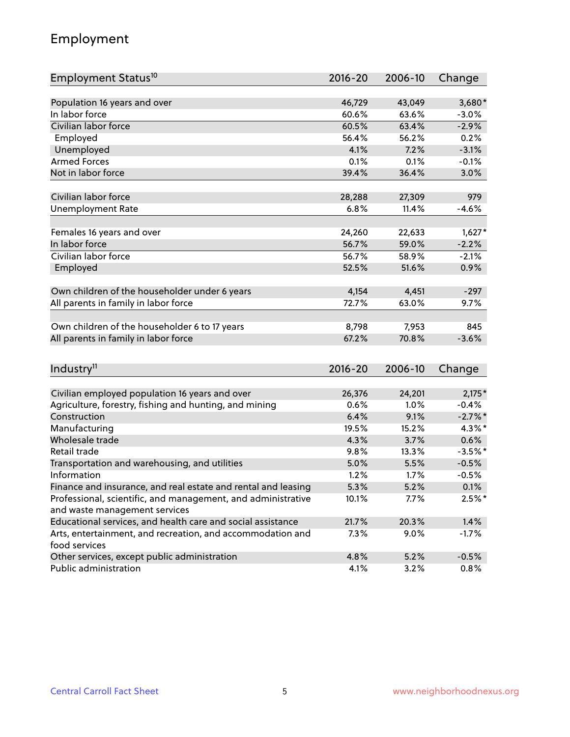# Employment

| Employment Status <sup>10</sup>                                             | $2016 - 20$ | 2006-10 | Change    |
|-----------------------------------------------------------------------------|-------------|---------|-----------|
|                                                                             |             |         |           |
| Population 16 years and over                                                | 46,729      | 43,049  | $3,680*$  |
| In labor force                                                              | 60.6%       | 63.6%   | $-3.0%$   |
| Civilian labor force                                                        | 60.5%       | 63.4%   | $-2.9%$   |
| Employed                                                                    | 56.4%       | 56.2%   | 0.2%      |
| Unemployed                                                                  | 4.1%        | 7.2%    | $-3.1%$   |
| <b>Armed Forces</b>                                                         | 0.1%        | 0.1%    | $-0.1%$   |
| Not in labor force                                                          | 39.4%       | 36.4%   | 3.0%      |
|                                                                             |             |         |           |
| Civilian labor force                                                        | 28,288      | 27,309  | 979       |
| <b>Unemployment Rate</b>                                                    | 6.8%        | 11.4%   | $-4.6%$   |
| Females 16 years and over                                                   | 24,260      | 22,633  | $1,627*$  |
| In labor force                                                              | 56.7%       | 59.0%   | $-2.2%$   |
| Civilian labor force                                                        | 56.7%       | 58.9%   | $-2.1%$   |
| Employed                                                                    | 52.5%       | 51.6%   | 0.9%      |
|                                                                             |             |         |           |
| Own children of the householder under 6 years                               | 4,154       | 4,451   | $-297$    |
| All parents in family in labor force                                        | 72.7%       | 63.0%   | 9.7%      |
|                                                                             |             |         |           |
| Own children of the householder 6 to 17 years                               | 8,798       | 7,953   | 845       |
| All parents in family in labor force                                        | 67.2%       | 70.8%   | $-3.6%$   |
|                                                                             |             |         |           |
| Industry <sup>11</sup>                                                      | $2016 - 20$ | 2006-10 | Change    |
|                                                                             |             |         |           |
| Civilian employed population 16 years and over                              | 26,376      | 24,201  | $2,175*$  |
| Agriculture, forestry, fishing and hunting, and mining                      | 0.6%        | 1.0%    | $-0.4%$   |
| Construction                                                                | 6.4%        | 9.1%    | $-2.7%$ * |
| Manufacturing                                                               | 19.5%       | 15.2%   | 4.3%*     |
| Wholesale trade                                                             | 4.3%        | 3.7%    | 0.6%      |
| Retail trade                                                                | 9.8%        | 13.3%   | $-3.5%$ * |
| Transportation and warehousing, and utilities                               | 5.0%        | 5.5%    | $-0.5%$   |
| Information                                                                 | 1.2%        | 1.7%    | $-0.5%$   |
| Finance and insurance, and real estate and rental and leasing               | 5.3%        | 5.2%    | 0.1%      |
| Professional, scientific, and management, and administrative                | 10.1%       | 7.7%    | $2.5%$ *  |
| and waste management services                                               |             |         |           |
| Educational services, and health care and social assistance                 | 21.7%       | 20.3%   | 1.4%      |
| Arts, entertainment, and recreation, and accommodation and<br>food services | 7.3%        | 9.0%    | $-1.7%$   |
| Other services, except public administration                                | 4.8%        | 5.2%    | $-0.5%$   |
| Public administration                                                       | 4.1%        | 3.2%    | 0.8%      |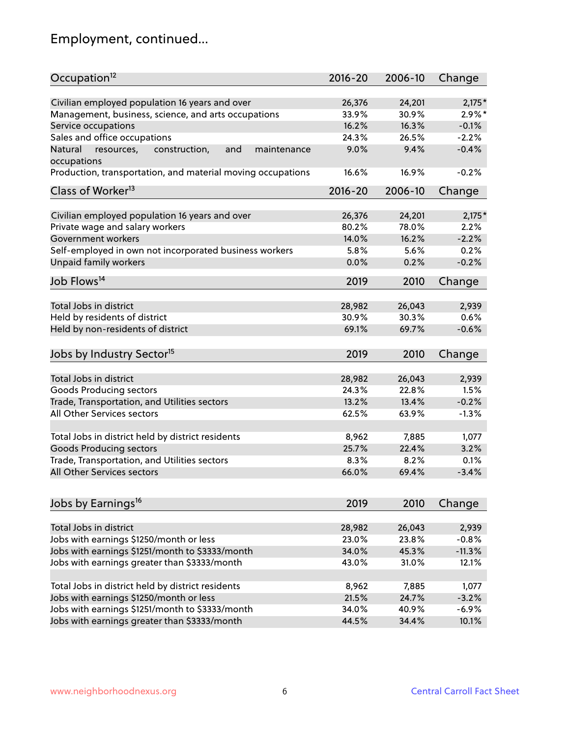# Employment, continued...

| Occupation <sup>12</sup>                                                    | $2016 - 20$ | 2006-10 | Change    |
|-----------------------------------------------------------------------------|-------------|---------|-----------|
| Civilian employed population 16 years and over                              | 26,376      | 24,201  | $2,175*$  |
| Management, business, science, and arts occupations                         | 33.9%       | 30.9%   | $2.9\%$ * |
| Service occupations                                                         | 16.2%       | 16.3%   | $-0.1%$   |
| Sales and office occupations                                                | 24.3%       | 26.5%   | $-2.2%$   |
|                                                                             |             | 9.4%    | $-0.4%$   |
| Natural<br>and<br>resources,<br>construction,<br>maintenance<br>occupations | 9.0%        |         |           |
| Production, transportation, and material moving occupations                 | 16.6%       | 16.9%   | $-0.2%$   |
| Class of Worker <sup>13</sup>                                               | $2016 - 20$ | 2006-10 | Change    |
|                                                                             |             |         |           |
| Civilian employed population 16 years and over                              | 26,376      | 24,201  | $2,175*$  |
| Private wage and salary workers                                             | 80.2%       | 78.0%   | 2.2%      |
| Government workers                                                          | 14.0%       | 16.2%   | $-2.2%$   |
| Self-employed in own not incorporated business workers                      | 5.8%        | 5.6%    | 0.2%      |
| Unpaid family workers                                                       | 0.0%        | 0.2%    | $-0.2%$   |
| Job Flows <sup>14</sup>                                                     | 2019        | 2010    | Change    |
|                                                                             |             |         |           |
| Total Jobs in district                                                      | 28,982      | 26,043  | 2,939     |
| Held by residents of district                                               | 30.9%       | 30.3%   | 0.6%      |
| Held by non-residents of district                                           | 69.1%       | 69.7%   | $-0.6%$   |
| Jobs by Industry Sector <sup>15</sup>                                       | 2019        | 2010    | Change    |
|                                                                             |             |         |           |
| Total Jobs in district                                                      | 28,982      | 26,043  | 2,939     |
| Goods Producing sectors                                                     | 24.3%       | 22.8%   | 1.5%      |
| Trade, Transportation, and Utilities sectors                                | 13.2%       | 13.4%   | $-0.2%$   |
| All Other Services sectors                                                  | 62.5%       | 63.9%   | $-1.3%$   |
| Total Jobs in district held by district residents                           | 8,962       | 7,885   | 1,077     |
| <b>Goods Producing sectors</b>                                              | 25.7%       | 22.4%   | 3.2%      |
| Trade, Transportation, and Utilities sectors                                | 8.3%        | 8.2%    | 0.1%      |
| All Other Services sectors                                                  | 66.0%       | 69.4%   | $-3.4%$   |
|                                                                             |             |         |           |
| Jobs by Earnings <sup>16</sup>                                              | 2019        | 2010    | Change    |
|                                                                             |             |         |           |
| Total Jobs in district                                                      | 28,982      | 26,043  | 2,939     |
| Jobs with earnings \$1250/month or less                                     | 23.0%       | 23.8%   | $-0.8%$   |
| Jobs with earnings \$1251/month to \$3333/month                             | 34.0%       | 45.3%   | $-11.3%$  |
| Jobs with earnings greater than \$3333/month                                | 43.0%       | 31.0%   | 12.1%     |
| Total Jobs in district held by district residents                           | 8,962       | 7,885   | 1,077     |
| Jobs with earnings \$1250/month or less                                     | 21.5%       | 24.7%   | $-3.2%$   |
| Jobs with earnings \$1251/month to \$3333/month                             | 34.0%       | 40.9%   | $-6.9%$   |
| Jobs with earnings greater than \$3333/month                                | 44.5%       | 34.4%   | 10.1%     |
|                                                                             |             |         |           |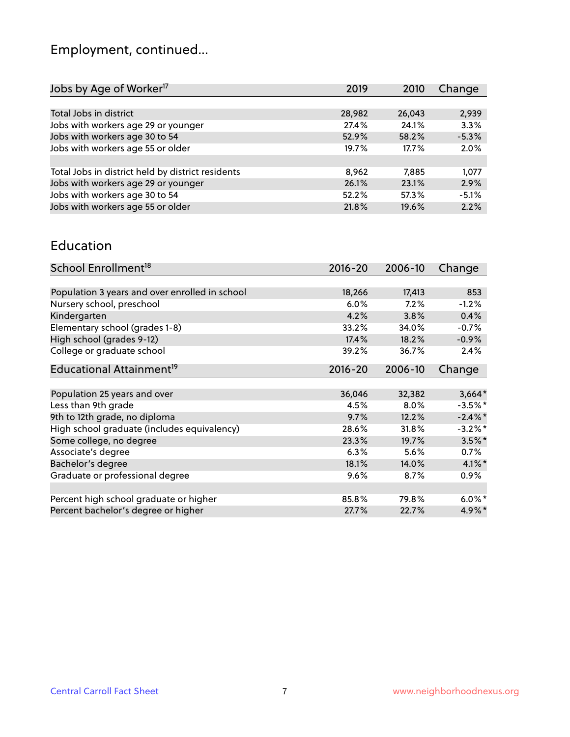# Employment, continued...

| 2019   | 2010   | Change  |
|--------|--------|---------|
|        |        |         |
| 28,982 | 26,043 | 2,939   |
| 27.4%  | 24.1%  | 3.3%    |
| 52.9%  | 58.2%  | $-5.3%$ |
| 19.7%  | 17.7%  | 2.0%    |
|        |        |         |
| 8,962  | 7,885  | 1,077   |
| 26.1%  | 23.1%  | 2.9%    |
| 52.2%  | 57.3%  | $-5.1%$ |
| 21.8%  | 19.6%  | 2.2%    |
|        |        |         |

#### Education

| School Enrollment <sup>18</sup>                | $2016 - 20$ | 2006-10 | Change     |
|------------------------------------------------|-------------|---------|------------|
|                                                |             |         |            |
| Population 3 years and over enrolled in school | 18,266      | 17,413  | 853        |
| Nursery school, preschool                      | $6.0\%$     | 7.2%    | $-1.2%$    |
| Kindergarten                                   | 4.2%        | 3.8%    | 0.4%       |
| Elementary school (grades 1-8)                 | 33.2%       | 34.0%   | $-0.7%$    |
| High school (grades 9-12)                      | 17.4%       | 18.2%   | $-0.9%$    |
| College or graduate school                     | 39.2%       | 36.7%   | 2.4%       |
| Educational Attainment <sup>19</sup>           | $2016 - 20$ | 2006-10 | Change     |
|                                                |             |         |            |
| Population 25 years and over                   | 36,046      | 32,382  | $3,664*$   |
| Less than 9th grade                            | 4.5%        | 8.0%    | $-3.5%$ *  |
| 9th to 12th grade, no diploma                  | 9.7%        | 12.2%   | $-2.4\%$ * |
| High school graduate (includes equivalency)    | 28.6%       | 31.8%   | $-3.2%$ *  |
| Some college, no degree                        | 23.3%       | 19.7%   | $3.5\%$ *  |
| Associate's degree                             | 6.3%        | 5.6%    | 0.7%       |
| Bachelor's degree                              | 18.1%       | 14.0%   | $4.1\%$ *  |
| Graduate or professional degree                | 9.6%        | 8.7%    | $0.9\%$    |
|                                                |             |         |            |
| Percent high school graduate or higher         | 85.8%       | 79.8%   | $6.0\%$ *  |
| Percent bachelor's degree or higher            | 27.7%       | 22.7%   | $4.9\%$ *  |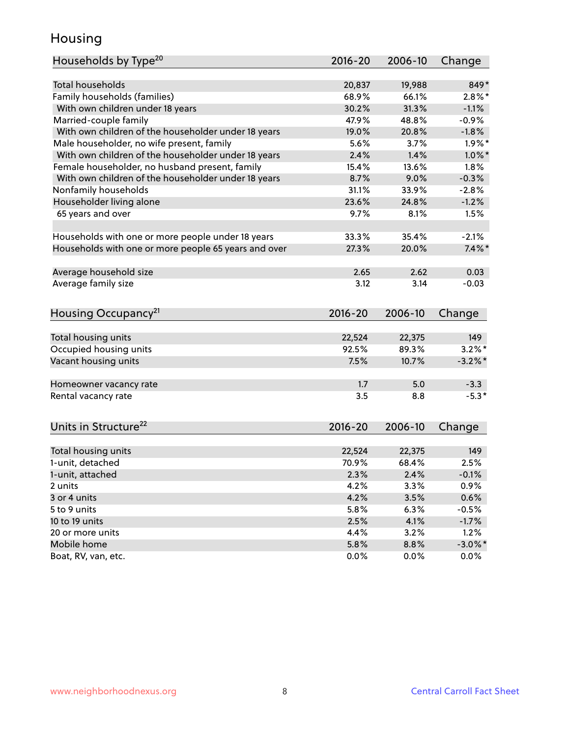### Housing

| Households by Type <sup>20</sup>                     | 2016-20 | 2006-10 | Change     |
|------------------------------------------------------|---------|---------|------------|
|                                                      |         |         |            |
| <b>Total households</b>                              | 20,837  | 19,988  | 849*       |
| Family households (families)                         | 68.9%   | 66.1%   | $2.8\%$ *  |
| With own children under 18 years                     | 30.2%   | 31.3%   | $-1.1%$    |
| Married-couple family                                | 47.9%   | 48.8%   | $-0.9%$    |
| With own children of the householder under 18 years  | 19.0%   | 20.8%   | $-1.8%$    |
| Male householder, no wife present, family            | 5.6%    | 3.7%    | $1.9\%$ *  |
| With own children of the householder under 18 years  | 2.4%    | 1.4%    | $1.0\%$ *  |
| Female householder, no husband present, family       | 15.4%   | 13.6%   | 1.8%       |
| With own children of the householder under 18 years  | 8.7%    | 9.0%    | $-0.3%$    |
| Nonfamily households                                 | 31.1%   | 33.9%   | $-2.8%$    |
| Householder living alone                             | 23.6%   | 24.8%   | $-1.2%$    |
| 65 years and over                                    | 9.7%    | 8.1%    | 1.5%       |
|                                                      |         |         |            |
| Households with one or more people under 18 years    | 33.3%   | 35.4%   | $-2.1%$    |
| Households with one or more people 65 years and over | 27.3%   | 20.0%   | $7.4\%$ *  |
|                                                      |         |         |            |
| Average household size                               | 2.65    | 2.62    | 0.03       |
| Average family size                                  | 3.12    | 3.14    | $-0.03$    |
|                                                      |         |         |            |
| Housing Occupancy <sup>21</sup>                      | 2016-20 | 2006-10 | Change     |
|                                                      |         |         |            |
| Total housing units                                  | 22,524  | 22,375  | 149        |
| Occupied housing units                               | 92.5%   | 89.3%   | $3.2\%$ *  |
| Vacant housing units                                 | 7.5%    | 10.7%   | $-3.2\%$ * |
|                                                      |         |         |            |
| Homeowner vacancy rate                               | 1.7     | 5.0     | $-3.3$     |
| Rental vacancy rate                                  | 3.5     | 8.8     | $-5.3*$    |
|                                                      |         |         |            |
|                                                      |         |         |            |
| Units in Structure <sup>22</sup>                     | 2016-20 | 2006-10 | Change     |
|                                                      |         |         |            |
| Total housing units                                  | 22,524  | 22,375  | 149        |
| 1-unit, detached                                     | 70.9%   | 68.4%   | 2.5%       |
| 1-unit, attached                                     | 2.3%    | 2.4%    | $-0.1%$    |
| 2 units                                              | 4.2%    | 3.3%    | 0.9%       |
| 3 or 4 units                                         | 4.2%    | 3.5%    | 0.6%       |
| 5 to 9 units                                         | 5.8%    | 6.3%    | $-0.5%$    |
| 10 to 19 units                                       | 2.5%    | 4.1%    | $-1.7%$    |
| 20 or more units                                     | 4.4%    | 3.2%    | 1.2%       |
| Mobile home                                          | 5.8%    | 8.8%    | $-3.0\%$ * |
| Boat, RV, van, etc.                                  | 0.0%    | 0.0%    | 0.0%       |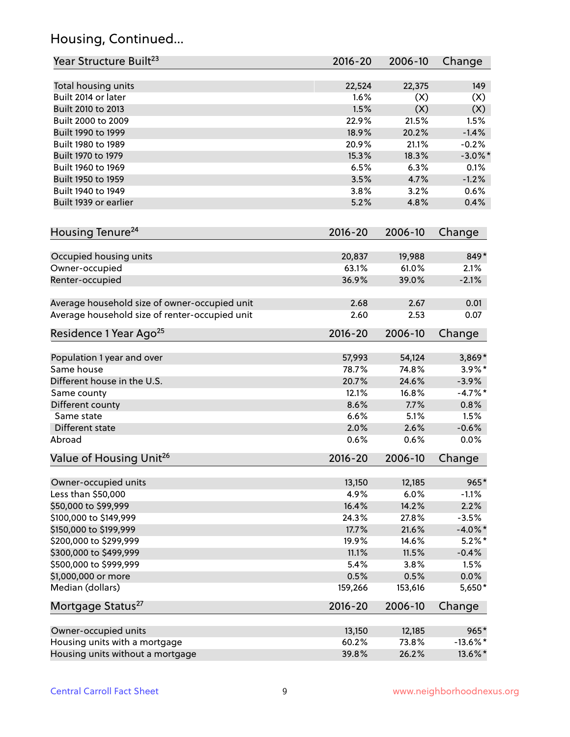# Housing, Continued...

| Year Structure Built <sup>23</sup>             | 2016-20     | 2006-10 | Change       |
|------------------------------------------------|-------------|---------|--------------|
| Total housing units                            | 22,524      | 22,375  | 149          |
| Built 2014 or later                            | 1.6%        | (X)     | (X)          |
| Built 2010 to 2013                             | 1.5%        | (X)     | (X)          |
| Built 2000 to 2009                             | 22.9%       | 21.5%   | 1.5%         |
| Built 1990 to 1999                             | 18.9%       | 20.2%   | $-1.4%$      |
| Built 1980 to 1989                             | 20.9%       | 21.1%   | $-0.2%$      |
| Built 1970 to 1979                             | 15.3%       | 18.3%   | $-3.0\%$ *   |
| Built 1960 to 1969                             | 6.5%        | 6.3%    | 0.1%         |
| Built 1950 to 1959                             | 3.5%        | 4.7%    | $-1.2%$      |
| Built 1940 to 1949                             | 3.8%        | 3.2%    | 0.6%         |
| Built 1939 or earlier                          | 5.2%        | 4.8%    | 0.4%         |
|                                                |             |         |              |
| Housing Tenure <sup>24</sup>                   | $2016 - 20$ | 2006-10 | Change       |
| Occupied housing units                         | 20,837      | 19,988  | 849*         |
| Owner-occupied                                 | 63.1%       | 61.0%   | 2.1%         |
| Renter-occupied                                | 36.9%       | 39.0%   | $-2.1%$      |
| Average household size of owner-occupied unit  | 2.68        | 2.67    | 0.01         |
| Average household size of renter-occupied unit | 2.60        | 2.53    | 0.07         |
| Residence 1 Year Ago <sup>25</sup>             | $2016 - 20$ | 2006-10 | Change       |
|                                                |             |         |              |
| Population 1 year and over                     | 57,993      | 54,124  | 3,869*       |
| Same house                                     | 78.7%       | 74.8%   | $3.9\%$ *    |
| Different house in the U.S.                    | 20.7%       | 24.6%   | $-3.9%$      |
| Same county                                    | 12.1%       | 16.8%   | $-4.7%$ *    |
| Different county                               | 8.6%        | 7.7%    | 0.8%         |
| Same state                                     | 6.6%        | 5.1%    | 1.5%         |
| Different state                                | 2.0%        | 2.6%    | $-0.6%$      |
| Abroad                                         | 0.6%        | 0.6%    | 0.0%         |
| Value of Housing Unit <sup>26</sup>            | $2016 - 20$ | 2006-10 | Change       |
| Owner-occupied units                           | 13,150      | 12,185  | 965*         |
| Less than \$50,000                             | 4.9%        | 6.0%    | $-1.1%$      |
| \$50,000 to \$99,999                           | 16.4%       | 14.2%   | 2.2%         |
| \$100,000 to \$149,999                         | 24.3%       | 27.8%   | $-3.5%$      |
| \$150,000 to \$199,999                         | 17.7%       | 21.6%   | $-4.0\%$ *   |
| \$200,000 to \$299,999                         | 19.9%       | 14.6%   | $5.2\%$ *    |
| \$300,000 to \$499,999                         | 11.1%       | 11.5%   | $-0.4%$      |
| \$500,000 to \$999,999                         | 5.4%        | 3.8%    |              |
| \$1,000,000 or more                            | 0.5%        |         | 1.5%<br>0.0% |
|                                                |             | 0.5%    |              |
| Median (dollars)                               | 159,266     | 153,616 | 5,650*       |
| Mortgage Status <sup>27</sup>                  | $2016 - 20$ | 2006-10 | Change       |
| Owner-occupied units                           | 13,150      | 12,185  | $965*$       |
| Housing units with a mortgage                  | 60.2%       | 73.8%   | $-13.6\%$ *  |
| Housing units without a mortgage               | 39.8%       | 26.2%   | 13.6%*       |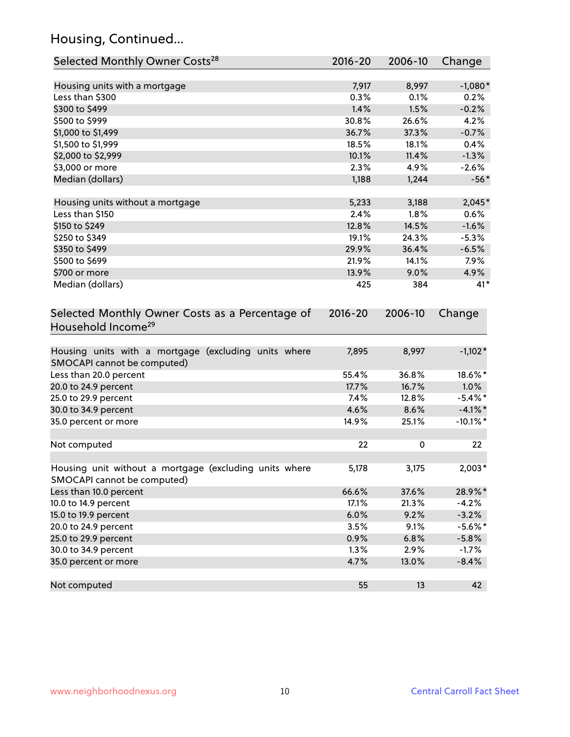# Housing, Continued...

| Selected Monthly Owner Costs <sup>28</sup>                                            | 2016-20     | 2006-10 | Change      |
|---------------------------------------------------------------------------------------|-------------|---------|-------------|
| Housing units with a mortgage                                                         | 7,917       | 8,997   | $-1,080*$   |
| Less than \$300                                                                       | 0.3%        | 0.1%    | 0.2%        |
| \$300 to \$499                                                                        | 1.4%        | 1.5%    | $-0.2%$     |
| \$500 to \$999                                                                        | 30.8%       | 26.6%   | 4.2%        |
| \$1,000 to \$1,499                                                                    | 36.7%       | 37.3%   | $-0.7%$     |
| \$1,500 to \$1,999                                                                    | 18.5%       | 18.1%   | 0.4%        |
| \$2,000 to \$2,999                                                                    | 10.1%       | 11.4%   | $-1.3%$     |
| \$3,000 or more                                                                       | 2.3%        | 4.9%    | $-2.6%$     |
| Median (dollars)                                                                      | 1,188       | 1,244   | $-56*$      |
|                                                                                       |             |         |             |
| Housing units without a mortgage                                                      | 5,233       | 3,188   | $2,045*$    |
| Less than \$150                                                                       | 2.4%        | 1.8%    | 0.6%        |
| \$150 to \$249                                                                        | 12.8%       | 14.5%   | $-1.6%$     |
| \$250 to \$349                                                                        | 19.1%       | 24.3%   | $-5.3%$     |
| \$350 to \$499                                                                        | 29.9%       | 36.4%   | $-6.5%$     |
| \$500 to \$699                                                                        | 21.9%       | 14.1%   | 7.9%        |
| \$700 or more                                                                         | 13.9%       | 9.0%    | 4.9%        |
| Median (dollars)                                                                      | 425         | 384     | $41*$       |
| Selected Monthly Owner Costs as a Percentage of<br>Household Income <sup>29</sup>     | $2016 - 20$ | 2006-10 | Change      |
| Housing units with a mortgage (excluding units where<br>SMOCAPI cannot be computed)   | 7,895       | 8,997   | $-1,102*$   |
| Less than 20.0 percent                                                                | 55.4%       | 36.8%   | 18.6%*      |
| 20.0 to 24.9 percent                                                                  | 17.7%       | 16.7%   | 1.0%        |
| 25.0 to 29.9 percent                                                                  | 7.4%        | 12.8%   | $-5.4\%$ *  |
| 30.0 to 34.9 percent                                                                  | 4.6%        | 8.6%    | $-4.1\%$ *  |
| 35.0 percent or more                                                                  | 14.9%       | 25.1%   | $-10.1\%$ * |
| Not computed                                                                          | 22          | 0       | 22          |
| Housing unit without a mortgage (excluding units where<br>SMOCAPI cannot be computed) | 5,178       | 3,175   | $2,003*$    |
| Less than 10.0 percent                                                                | 66.6%       | 37.6%   | 28.9%*      |
| 10.0 to 14.9 percent                                                                  | 17.1%       | 21.3%   | $-4.2%$     |
| 15.0 to 19.9 percent                                                                  | 6.0%        | 9.2%    | $-3.2%$     |
| 20.0 to 24.9 percent                                                                  | 3.5%        | 9.1%    | $-5.6\%$ *  |
| 25.0 to 29.9 percent                                                                  | 0.9%        | 6.8%    | $-5.8%$     |
| 30.0 to 34.9 percent                                                                  | 1.3%        | 2.9%    | $-1.7%$     |
| 35.0 percent or more                                                                  | 4.7%        | 13.0%   | $-8.4%$     |
| Not computed                                                                          | 55          | 13      | 42          |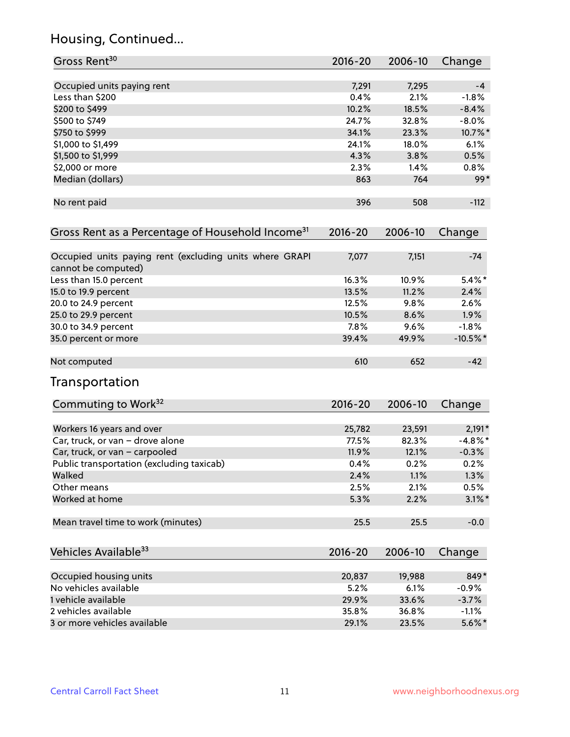# Housing, Continued...

| Gross Rent <sup>30</sup>                                                       | 2016-20     | 2006-10 | Change      |
|--------------------------------------------------------------------------------|-------------|---------|-------------|
| Occupied units paying rent                                                     | 7,291       | 7,295   | -4          |
| Less than \$200                                                                | 0.4%        | 2.1%    | $-1.8%$     |
| \$200 to \$499                                                                 | 10.2%       | 18.5%   | $-8.4%$     |
| \$500 to \$749                                                                 | 24.7%       | 32.8%   | $-8.0%$     |
| \$750 to \$999                                                                 | 34.1%       | 23.3%   | 10.7%*      |
| \$1,000 to \$1,499                                                             | 24.1%       | 18.0%   | 6.1%        |
| \$1,500 to \$1,999                                                             | 4.3%        | 3.8%    | 0.5%        |
| \$2,000 or more                                                                | 2.3%        | 1.4%    | $0.8\%$     |
| Median (dollars)                                                               | 863         | 764     | $99*$       |
| No rent paid                                                                   | 396         | 508     | $-112$      |
| Gross Rent as a Percentage of Household Income <sup>31</sup>                   | $2016 - 20$ | 2006-10 | Change      |
| Occupied units paying rent (excluding units where GRAPI<br>cannot be computed) | 7,077       | 7,151   | $-74$       |
| Less than 15.0 percent                                                         | 16.3%       | 10.9%   | $5.4\%$ *   |
| 15.0 to 19.9 percent                                                           | 13.5%       | 11.2%   | 2.4%        |
| 20.0 to 24.9 percent                                                           | 12.5%       | 9.8%    | 2.6%        |
| 25.0 to 29.9 percent                                                           | 10.5%       | 8.6%    | 1.9%        |
| 30.0 to 34.9 percent                                                           | 7.8%        | 9.6%    | $-1.8%$     |
| 35.0 percent or more                                                           | 39.4%       | 49.9%   | $-10.5\%$ * |
| Not computed                                                                   | 610         | 652     | $-42$       |
| Transportation                                                                 |             |         |             |
| Commuting to Work <sup>32</sup>                                                | 2016-20     | 2006-10 | Change      |
| Workers 16 years and over                                                      | 25,782      | 23,591  | $2,191*$    |
| Car, truck, or van - drove alone                                               | 77.5%       | 82.3%   | $-4.8\%$ *  |
| Car, truck, or van - carpooled                                                 | 11.9%       | 12.1%   | $-0.3%$     |
| Public transportation (excluding taxicab)                                      | 0.4%        | 0.2%    | 0.2%        |
| Walked                                                                         | 2.4%        | 1.1%    | 1.3%        |
| Other means                                                                    | 2.5%        | 2.1%    | 0.5%        |
| Worked at home                                                                 | 5.3%        | 2.2%    | $3.1\%$ *   |
| Mean travel time to work (minutes)                                             | 25.5        | 25.5    | $-0.0$      |
| Vehicles Available <sup>33</sup>                                               | 2016-20     | 2006-10 | Change      |
| Occupied housing units                                                         | 20,837      | 19,988  | 849*        |
| No vehicles available                                                          | 5.2%        | 6.1%    | $-0.9%$     |
| 1 vehicle available                                                            | 29.9%       | 33.6%   | $-3.7%$     |
| 2 vehicles available                                                           | 35.8%       | 36.8%   | $-1.1%$     |
| 3 or more vehicles available                                                   | 29.1%       | 23.5%   | $5.6\%$ *   |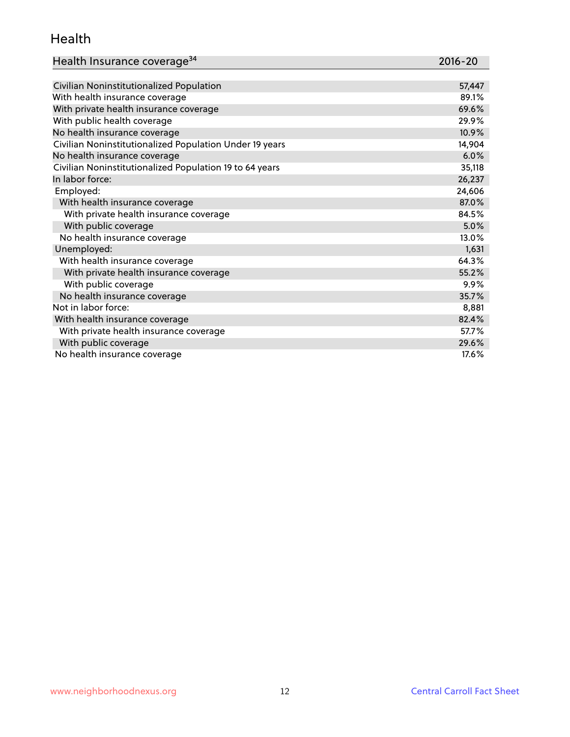#### Health

| Health Insurance coverage <sup>34</sup> | 2016-20 |
|-----------------------------------------|---------|
|-----------------------------------------|---------|

| Civilian Noninstitutionalized Population                | 57,447 |
|---------------------------------------------------------|--------|
| With health insurance coverage                          | 89.1%  |
| With private health insurance coverage                  | 69.6%  |
| With public health coverage                             | 29.9%  |
| No health insurance coverage                            | 10.9%  |
| Civilian Noninstitutionalized Population Under 19 years | 14,904 |
| No health insurance coverage                            | 6.0%   |
| Civilian Noninstitutionalized Population 19 to 64 years | 35,118 |
| In labor force:                                         | 26,237 |
| Employed:                                               | 24,606 |
| With health insurance coverage                          | 87.0%  |
| With private health insurance coverage                  | 84.5%  |
| With public coverage                                    | 5.0%   |
| No health insurance coverage                            | 13.0%  |
| Unemployed:                                             | 1,631  |
| With health insurance coverage                          | 64.3%  |
| With private health insurance coverage                  | 55.2%  |
| With public coverage                                    | 9.9%   |
| No health insurance coverage                            | 35.7%  |
| Not in labor force:                                     | 8,881  |
| With health insurance coverage                          | 82.4%  |
| With private health insurance coverage                  | 57.7%  |
| With public coverage                                    | 29.6%  |
| No health insurance coverage                            | 17.6%  |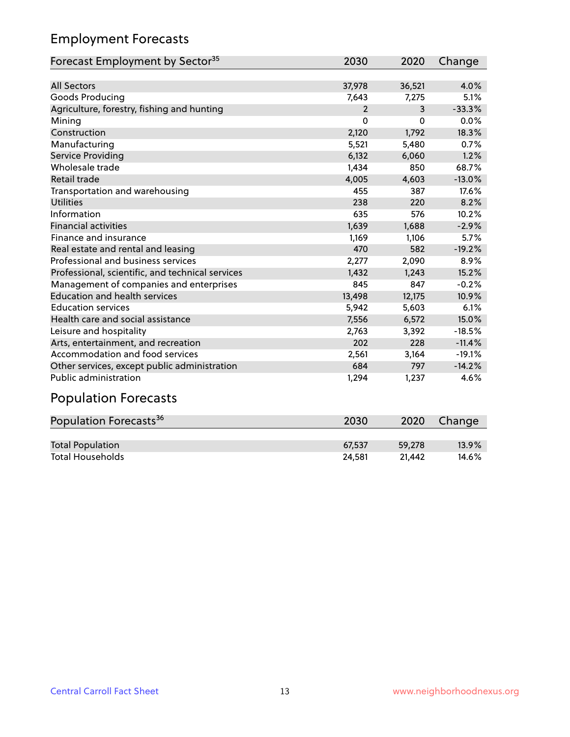# Employment Forecasts

| Forecast Employment by Sector <sup>35</sup>      | 2030           | 2020     | Change   |
|--------------------------------------------------|----------------|----------|----------|
|                                                  |                |          |          |
| <b>All Sectors</b>                               | 37,978         | 36,521   | 4.0%     |
| Goods Producing                                  | 7,643          | 7,275    | 5.1%     |
| Agriculture, forestry, fishing and hunting       | $\overline{2}$ | 3        | $-33.3%$ |
| Mining                                           | $\Omega$       | $\Omega$ | 0.0%     |
| Construction                                     | 2,120          | 1,792    | 18.3%    |
| Manufacturing                                    | 5,521          | 5,480    | 0.7%     |
| Service Providing                                | 6,132          | 6,060    | 1.2%     |
| Wholesale trade                                  | 1,434          | 850      | 68.7%    |
| Retail trade                                     | 4,005          | 4,603    | $-13.0%$ |
| Transportation and warehousing                   | 455            | 387      | 17.6%    |
| Utilities                                        | 238            | 220      | 8.2%     |
| Information                                      | 635            | 576      | 10.2%    |
| <b>Financial activities</b>                      | 1,639          | 1,688    | $-2.9%$  |
| Finance and insurance                            | 1,169          | 1,106    | 5.7%     |
| Real estate and rental and leasing               | 470            | 582      | $-19.2%$ |
| Professional and business services               | 2,277          | 2,090    | 8.9%     |
| Professional, scientific, and technical services | 1,432          | 1.243    | 15.2%    |
| Management of companies and enterprises          | 845            | 847      | $-0.2%$  |
| <b>Education and health services</b>             | 13,498         | 12,175   | 10.9%    |
| <b>Education services</b>                        | 5,942          | 5,603    | 6.1%     |
| Health care and social assistance                | 7,556          | 6,572    | 15.0%    |
| Leisure and hospitality                          | 2,763          | 3,392    | $-18.5%$ |
| Arts, entertainment, and recreation              | 202            | 228      | $-11.4%$ |
| Accommodation and food services                  | 2,561          | 3,164    | $-19.1%$ |
| Other services, except public administration     | 684            | 797      | $-14.2%$ |
| <b>Public administration</b>                     | 1,294          | 1,237    | 4.6%     |

# Population Forecasts

| Population Forecasts <sup>36</sup> | 2030   | 2020   | Change   |
|------------------------------------|--------|--------|----------|
|                                    |        |        |          |
| <b>Total Population</b>            | 67.537 | 59.278 | $13.9\%$ |
| <b>Total Households</b>            | 24.581 | 21.442 | 14.6%    |